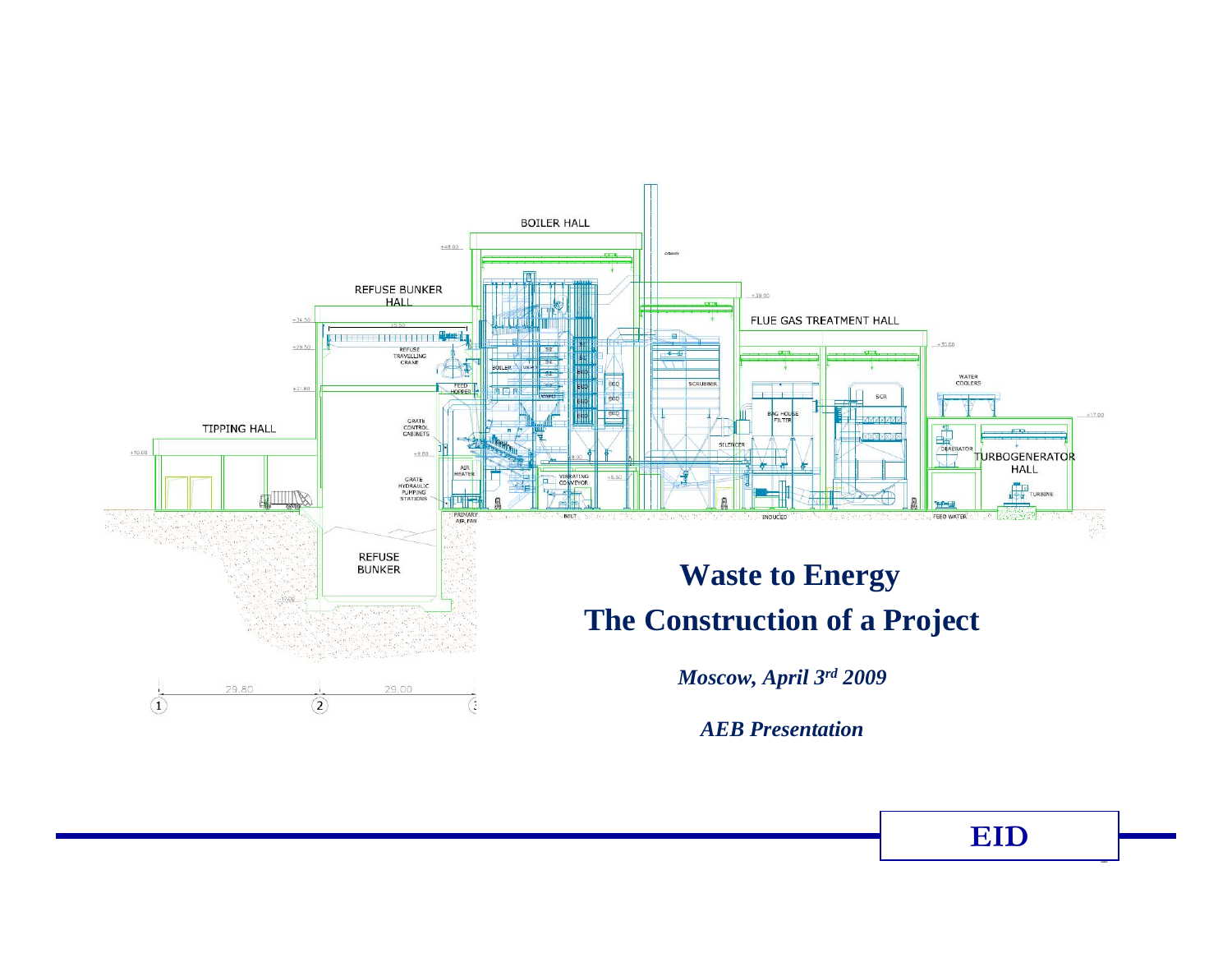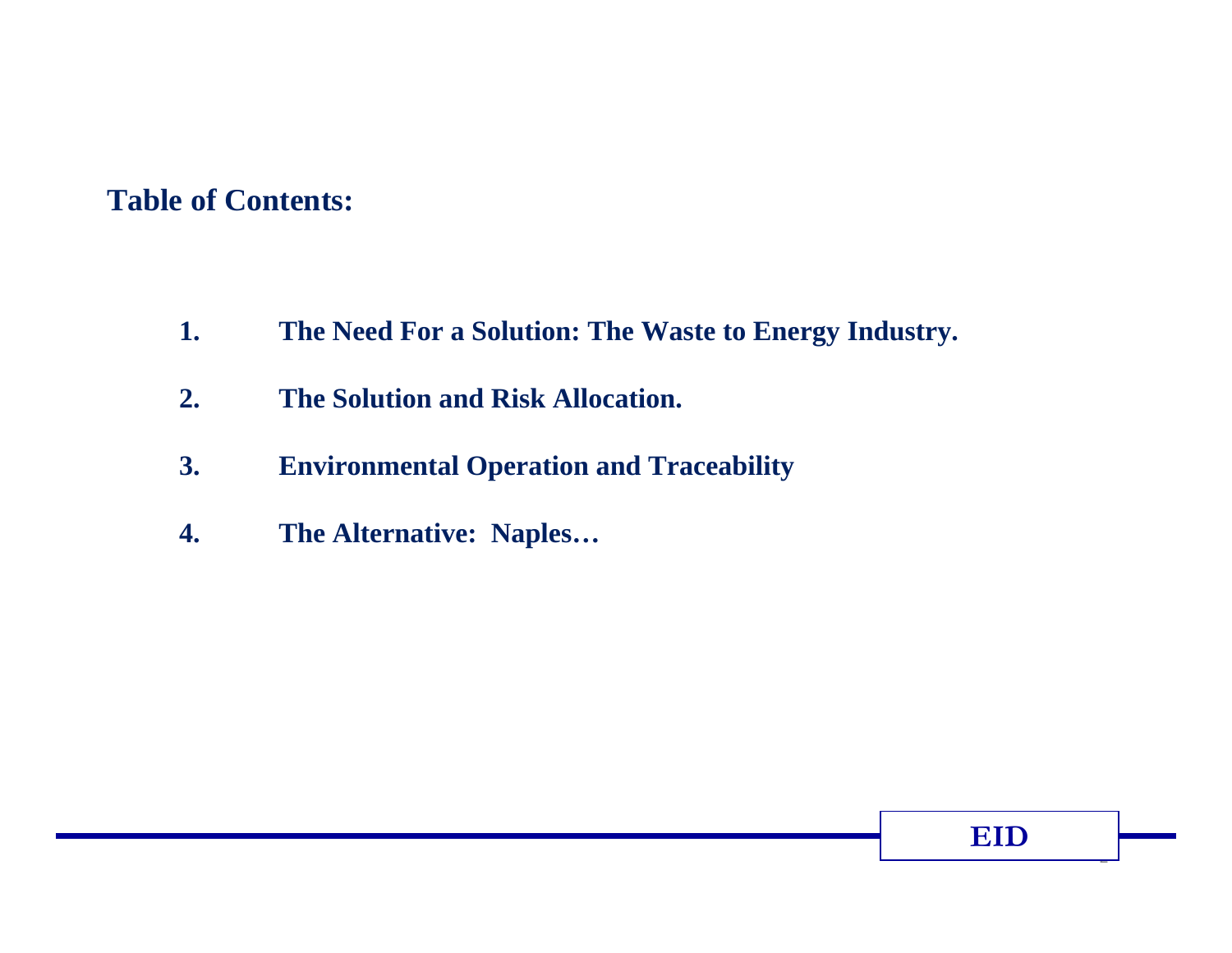## **Table of Contents:**

- **1. The Need For a Solution: The Waste to Energy Industry.**
- **2. The Solution and Risk Allocation.**
- **3. Environmental Operation and Traceability**
- **4. The Alternative: Naples…**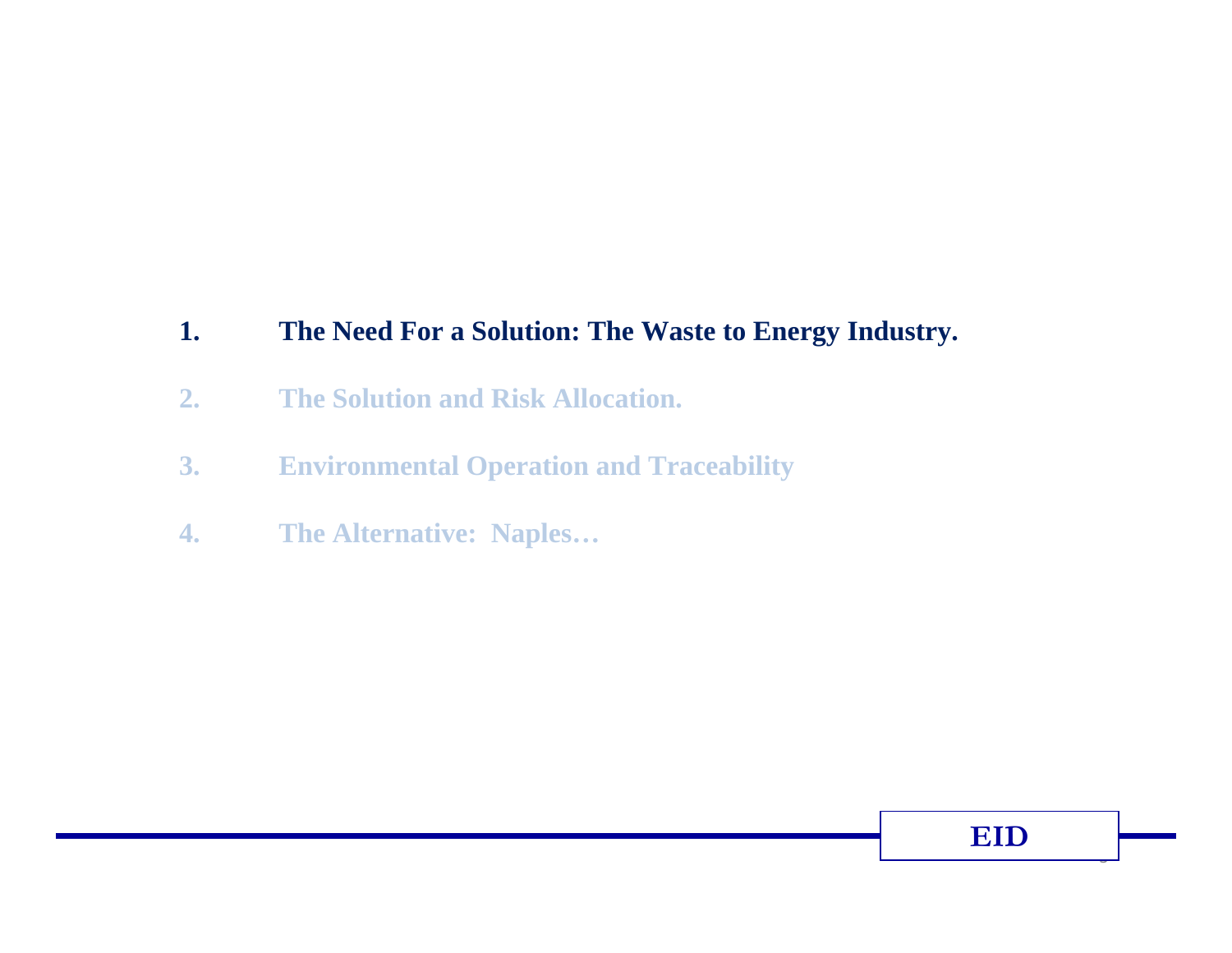#### **1. The Need For a Solution: The Waste to Energy Industry.**

- **2. The Solution and Risk Allocation.**
- **3. Environmental Operation and Traceability**
- **4. The Alternative: Naples…**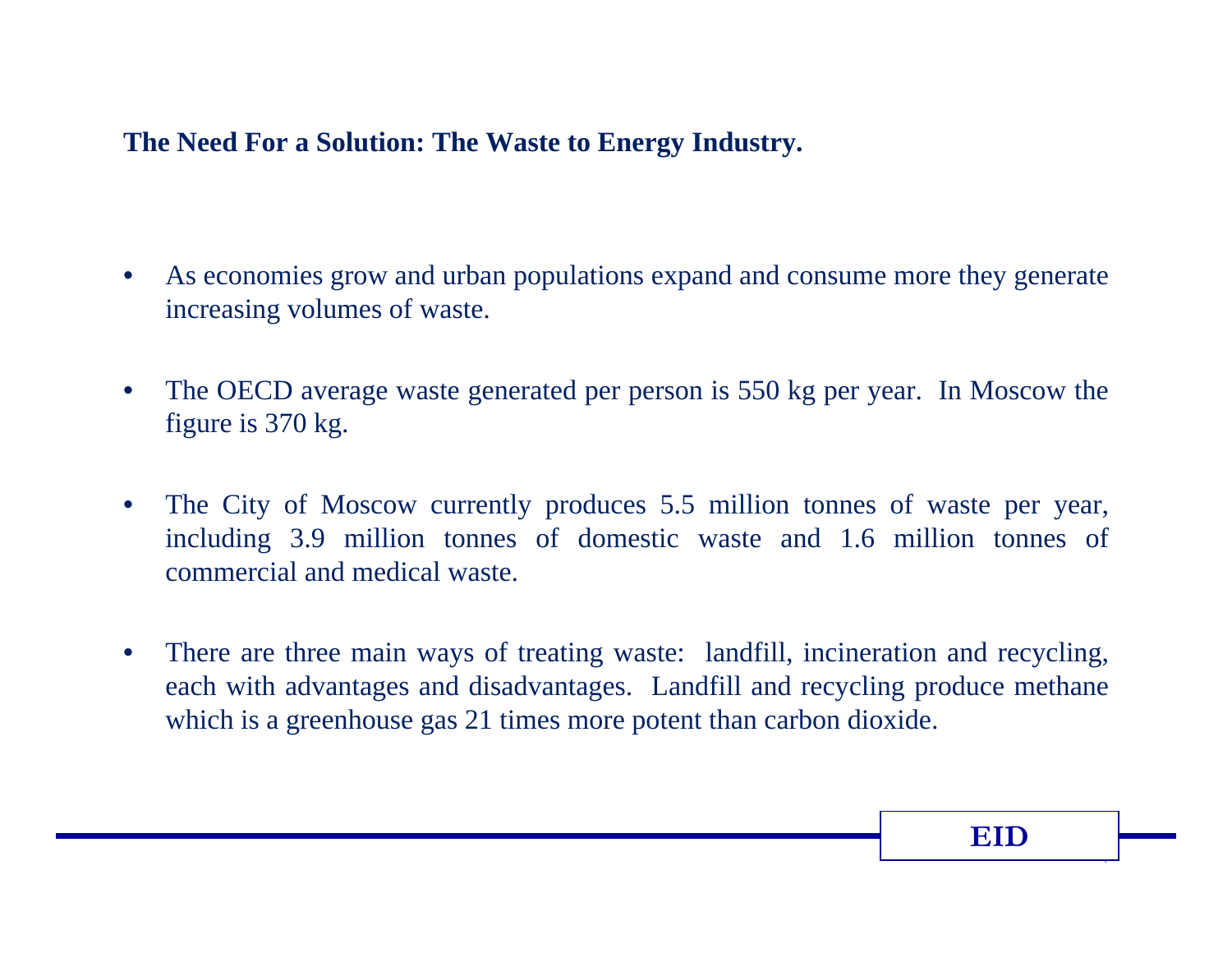## **The Need For a Solution: The Waste to Energy Industry.**

- • As economies grow and urban populations expand and consume more they generate increasing volumes of waste.
- $\bullet$  The OECD average waste generated per person is 550 kg per year. In Moscow the figure is 370 kg.
- $\bullet$  The City of Moscow currently produces 5.5 million tonnes of waste per year, including 3.9 million tonnes of domestic waste and 1.6 million tonnes of commercial and medical waste.
- $\bullet$  There are three main ways of treating waste: landfill, incineration and recycling, each with advantages and disadvantages. Landfill and recycling produce methane which is a greenhouse gas 21 times more potent than carbon dioxide.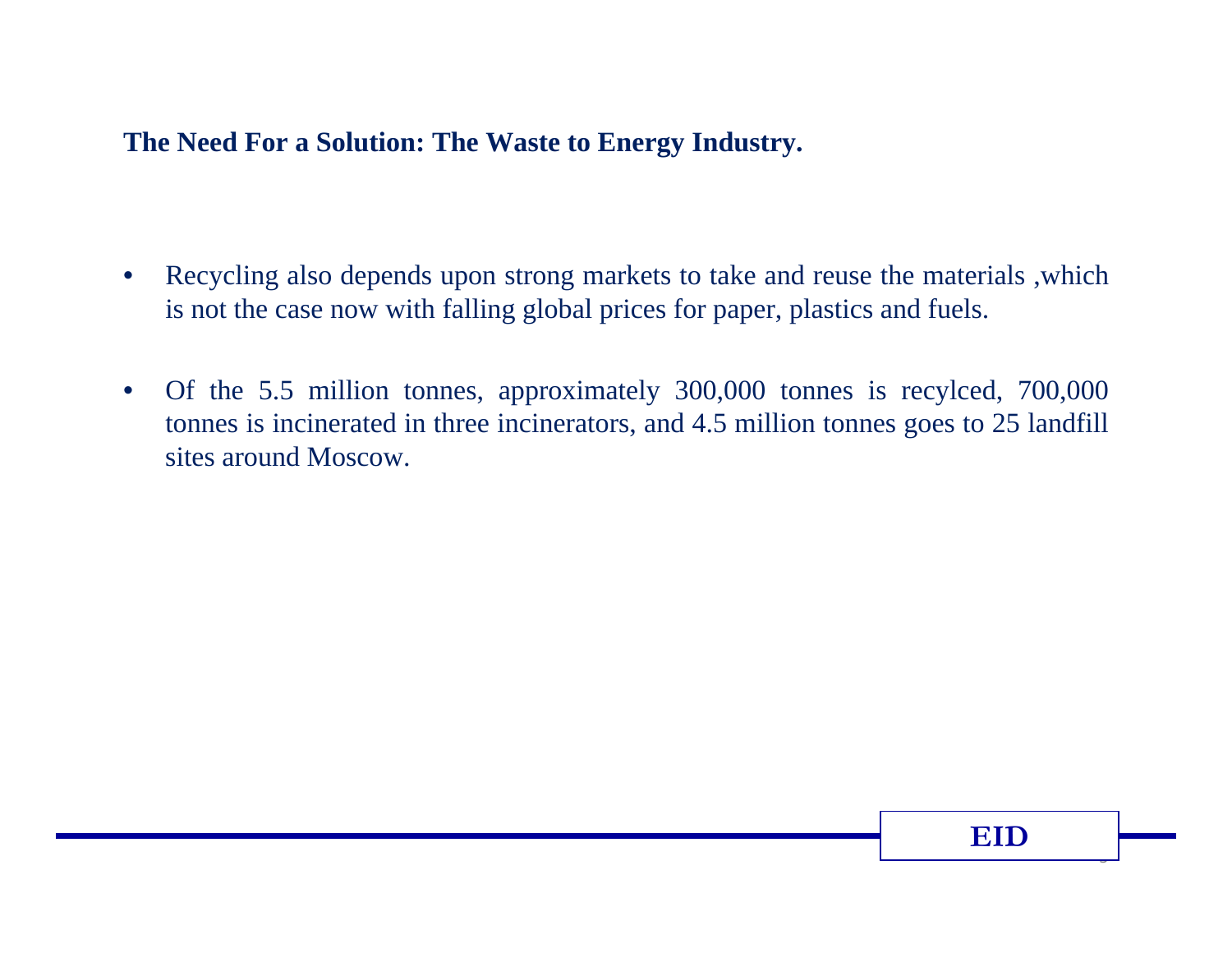### **The Need For a Solution: The Waste to Energy Industry.**

- • Recycling also depends upon strong markets to take and reuse the materials ,which is not the case now with falling global prices for paper, plastics and fuels.
- $\bullet$  Of the 5.5 million tonnes, approximately 300,000 tonnes is recylced, 700,000 tonnes is incinerated in three incinerators, and 4.5 million tonnes goes to 25 landfill sites around Moscow.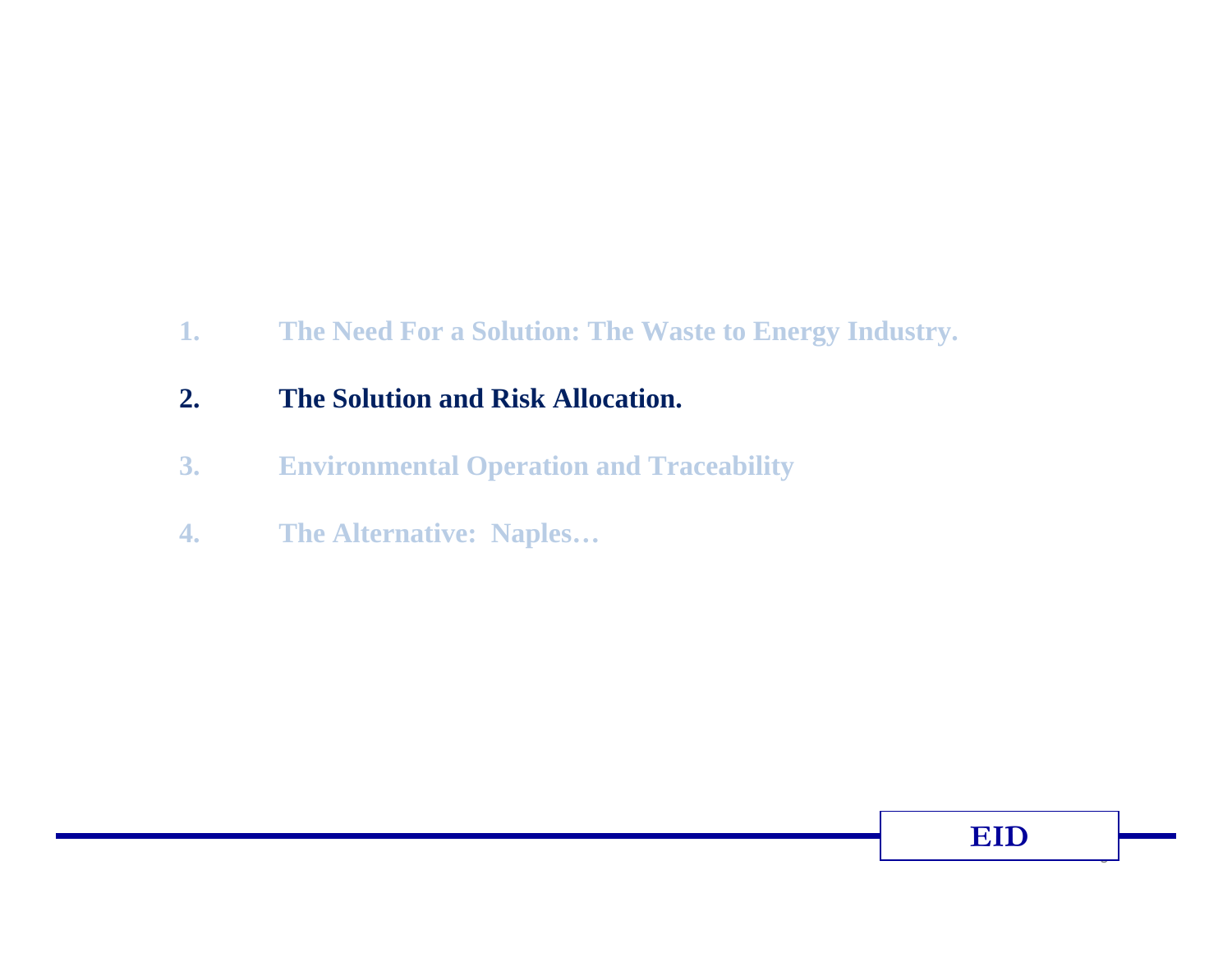#### **1. The Need For a Solution: The Waste to Energy Industry.**

## **2. The Solution and Risk Allocation.**

- **3. Environmental Operation and Traceability**
- **4. The Alternative: Naples…**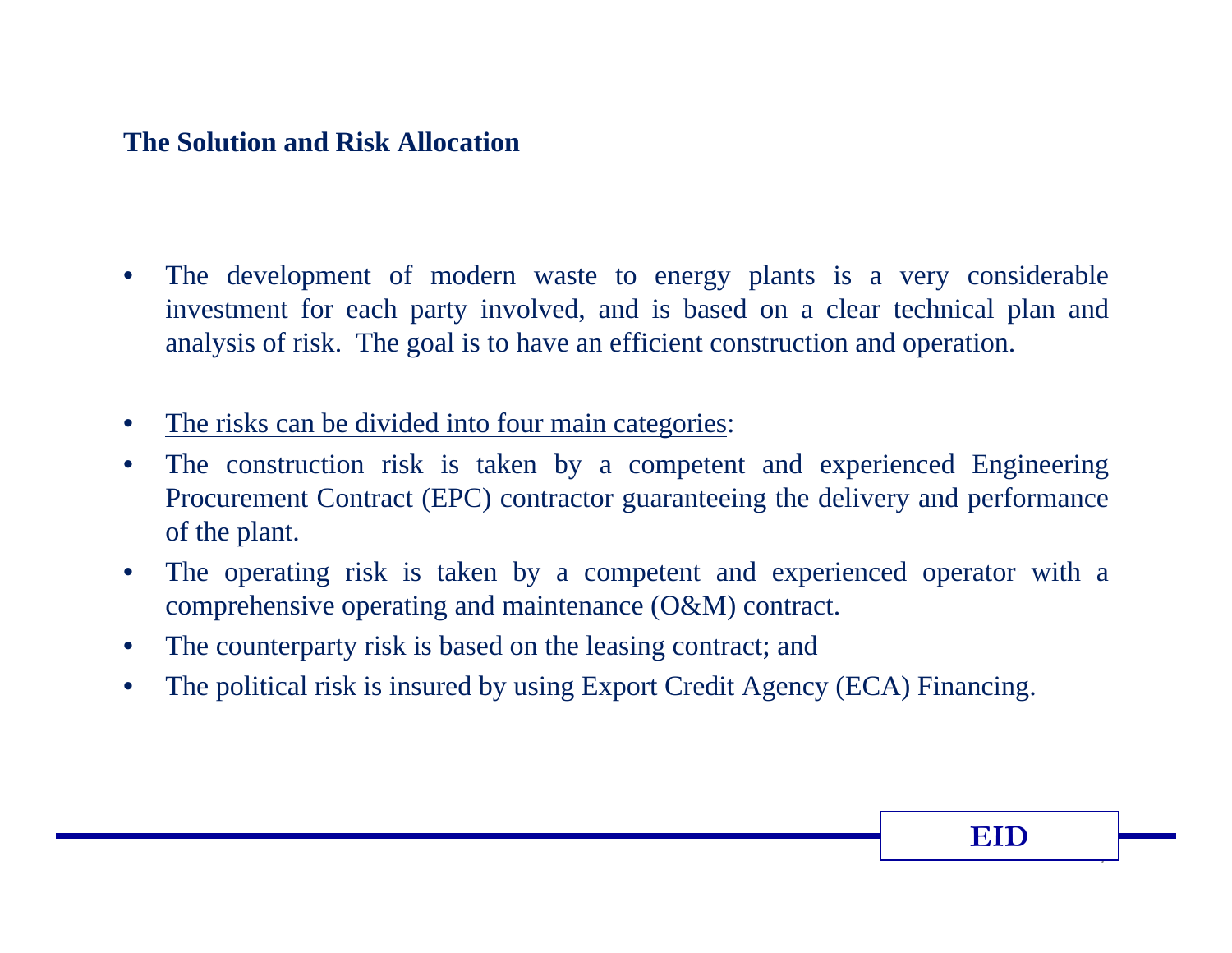### **The Solution and Risk Allocation**

- • The development of modern waste to energy plants is a very considerable investment for each party involved, and is based on a clear technical plan and analysis of risk. The goal is to have an efficient construction and operation.
- •The risks can be divided into four main categories:
- • The construction risk is taken by a competent and experienced Engineering Procurement Contract (EPC) contractor guaranteeing the delivery and performance of the plant.
- • The operating risk is taken by a competent and experienced operator with a comprehensive operating and maintenance (O&M) contract.
- •The counterparty risk is based on the leasing contract; and
- •The political risk is insured by using Export Credit Agency (ECA) Financing.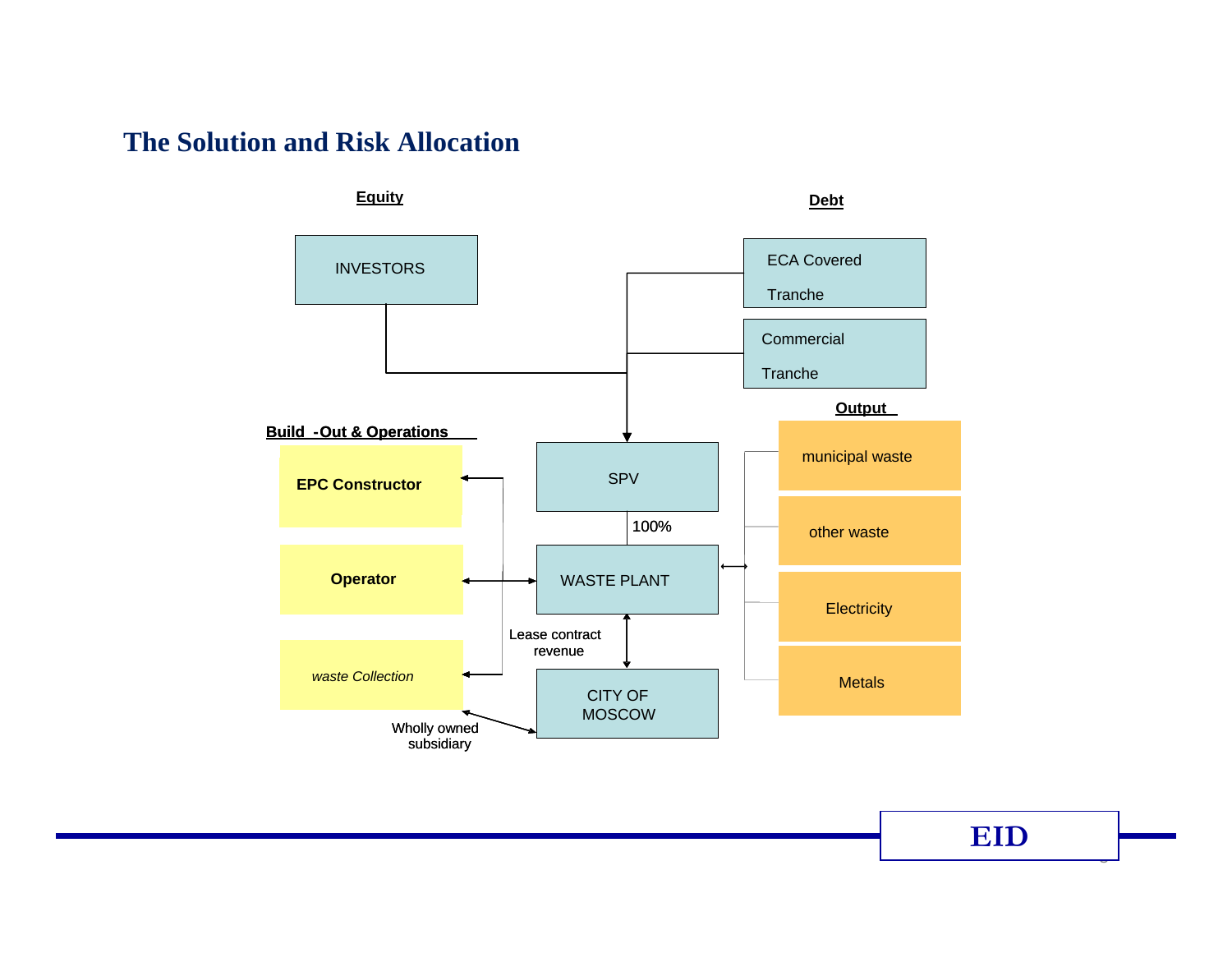#### **The Solution and Risk Allocation**



**EID**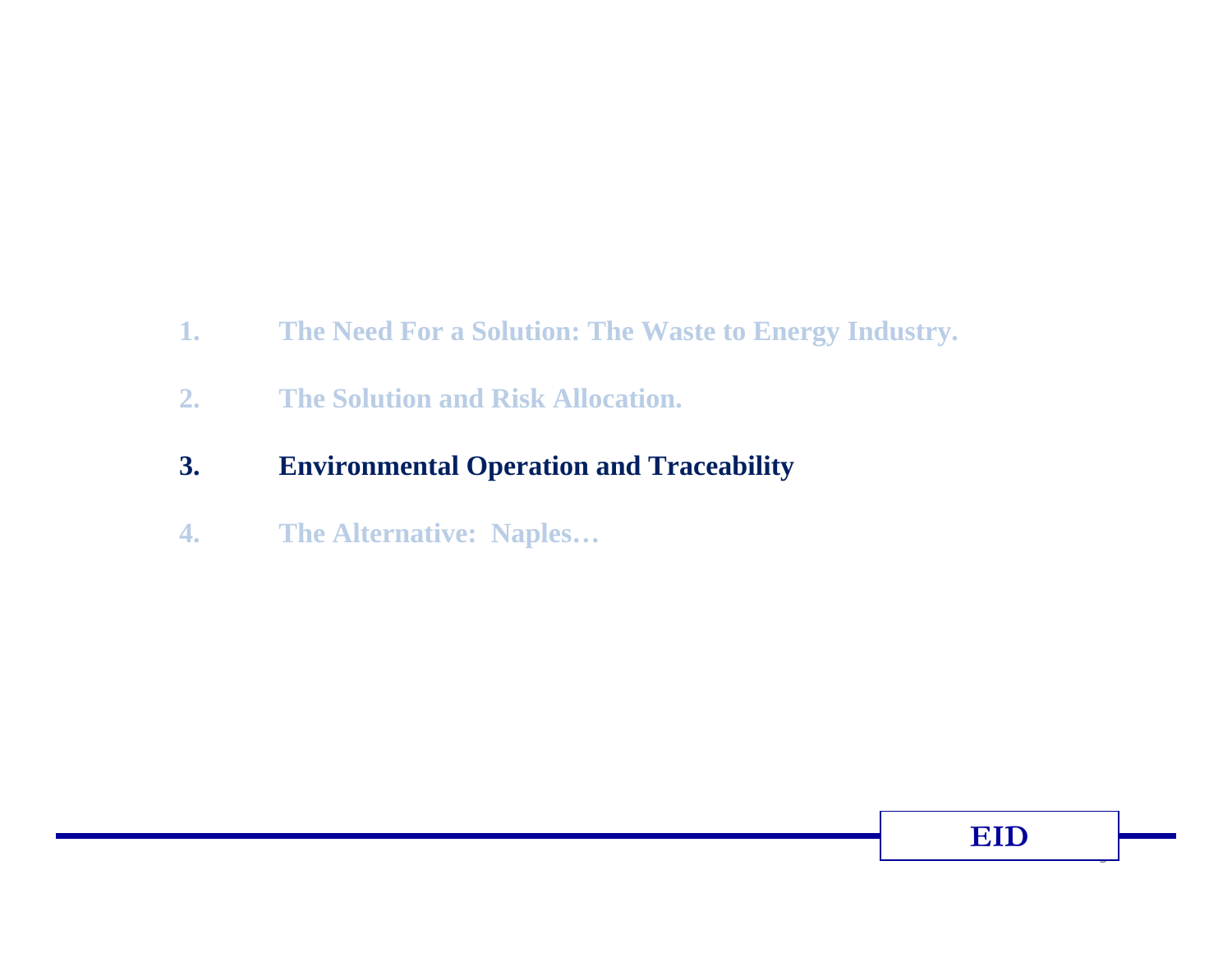- **1. The Need For a Solution: The Waste to Energy Industry.**
- **2. The Solution and Risk Allocation.**
- **3. Environmental Operation and Traceability**
- **4. The Alternative: Naples…**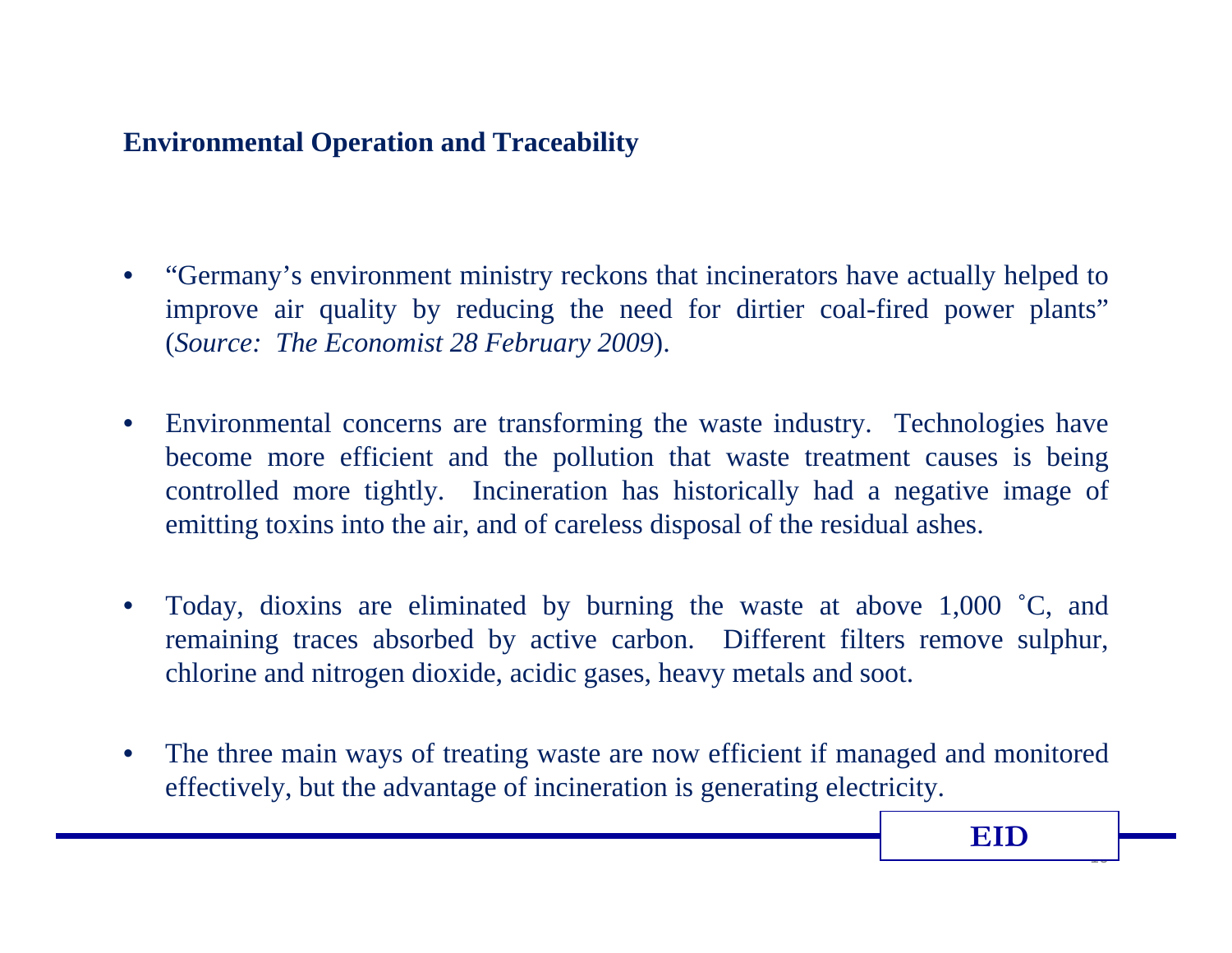## **Environmental Operation and Traceability**

- • "Germany's environment ministry reckons that incinerators have actually helped to improve air quality by reducing the need for dirtier coal-fired power plants" (*Source: The Economist 28 February 2009*).
- $\bullet$  Environmental concerns are transforming the waste industry. Technologies have become more efficient and the pollution that waste treatment causes is being controlled more tightly. Incineration has historically had a negative image of emitting toxins into the air, and of careless disposal of the residual ashes.
- $\bullet$  Today, dioxins are eliminated by burning the waste at above 1,000 ˚C, and remaining traces absorbed by active carbon. Different filters remove sulphur, chlorine and nitrogen dioxide, acidic gases, heavy metals and soot.
- $\bullet$  The three main ways of treating waste are now efficient if managed and monitored effectively, but the advantage of incineration is generating electricity.

 $\overline{1}$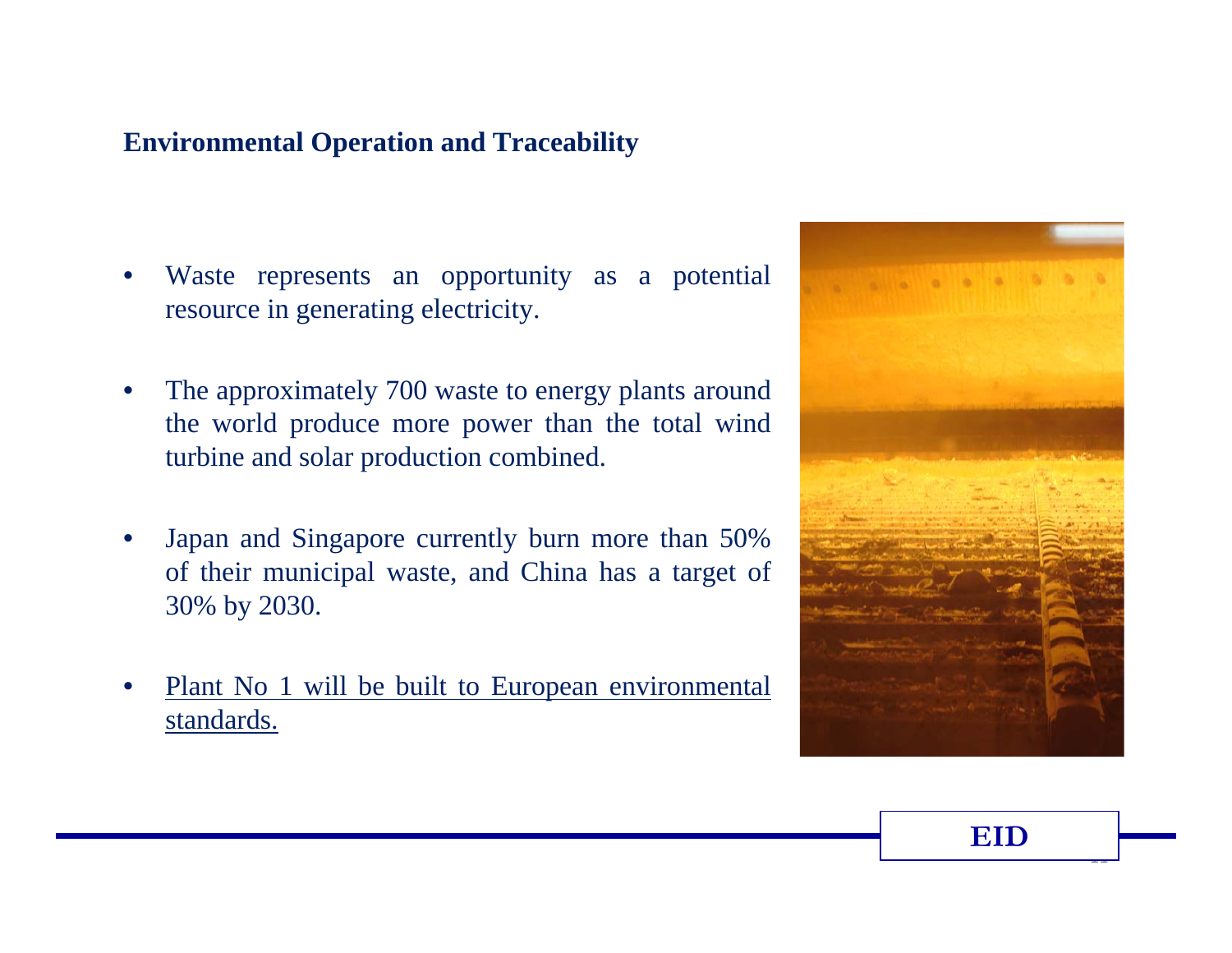## **Environmental Operation and Traceability**

- • Waste represents an opportunity as a potential resource in generating electricity.
- • The approximately 700 waste to energy plants around the world produce more power than the total wind turbine and solar production combined.
- • Japan and Singapore currently burn more than 50% of their municipal waste, and China has a target of 30% by 2030.
- • Plant No 1 will be built to European environmental standards.

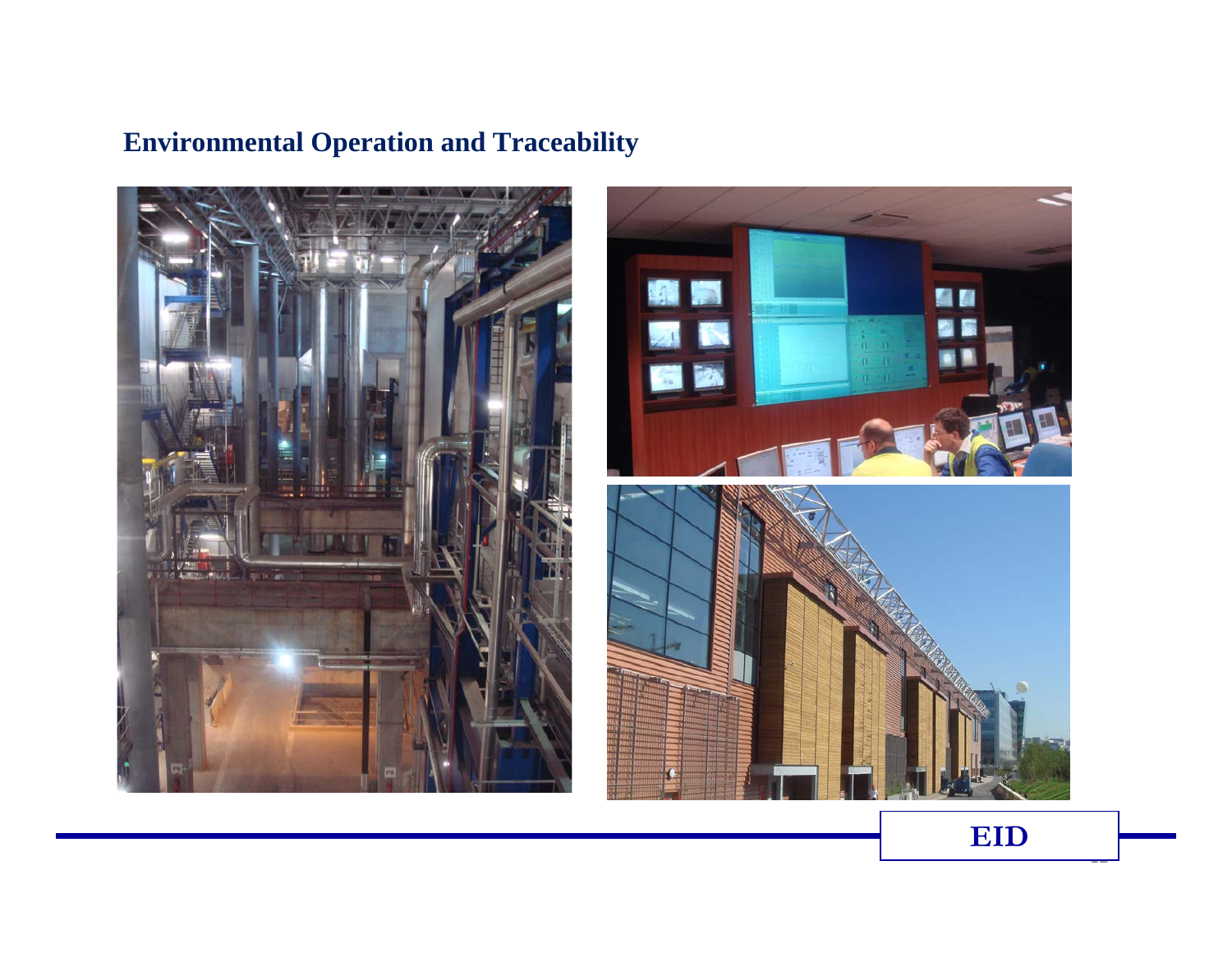# **Environmental Operation and Traceability**





<u>.</u>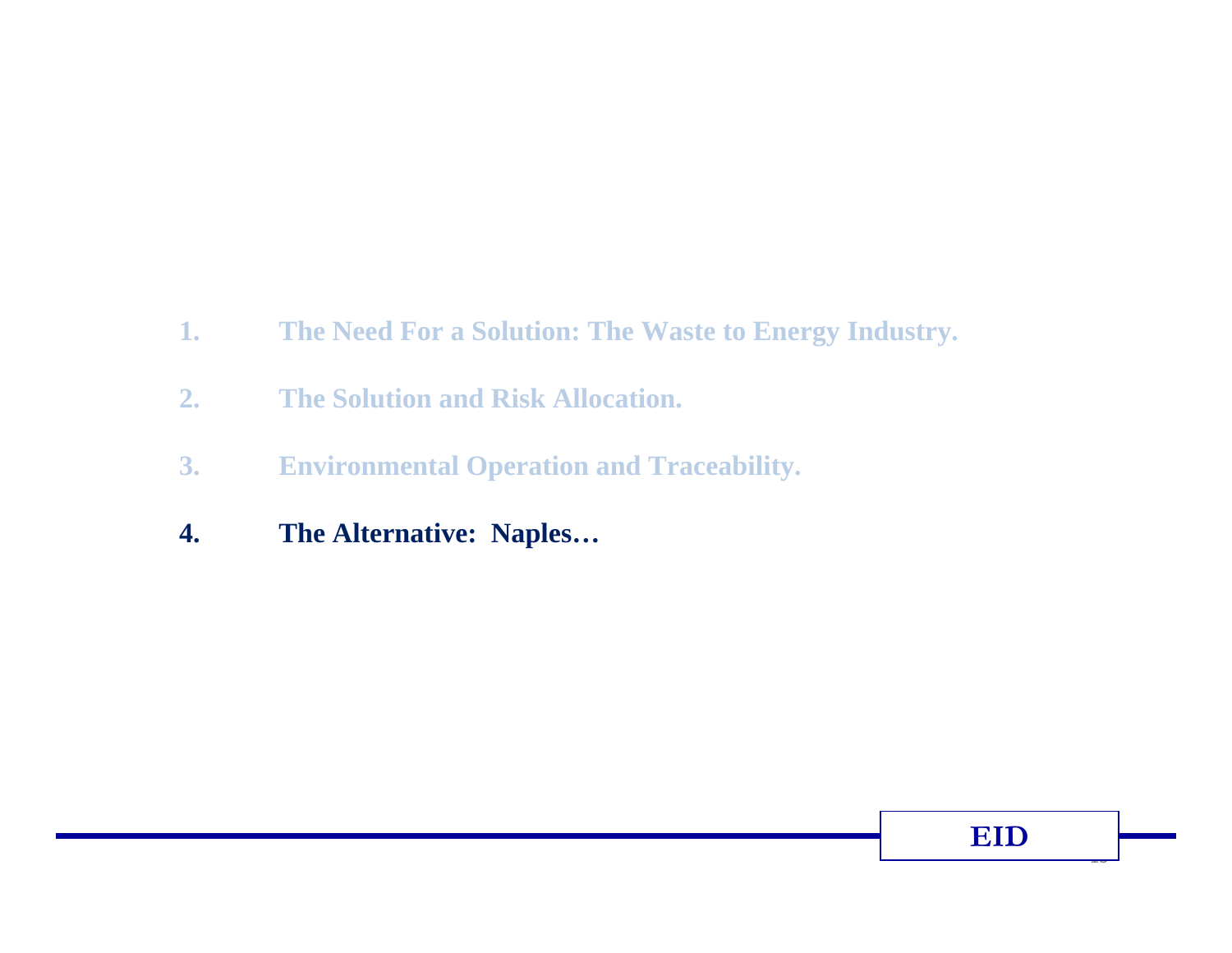- **1. The Need For a Solution: The Waste to Energy Industry.**
- **2. The Solution and Risk Allocation.**
- **3. Environmental Operation and Traceability.**
- **4. The Alternative: Naples…**

 $\overline{1}$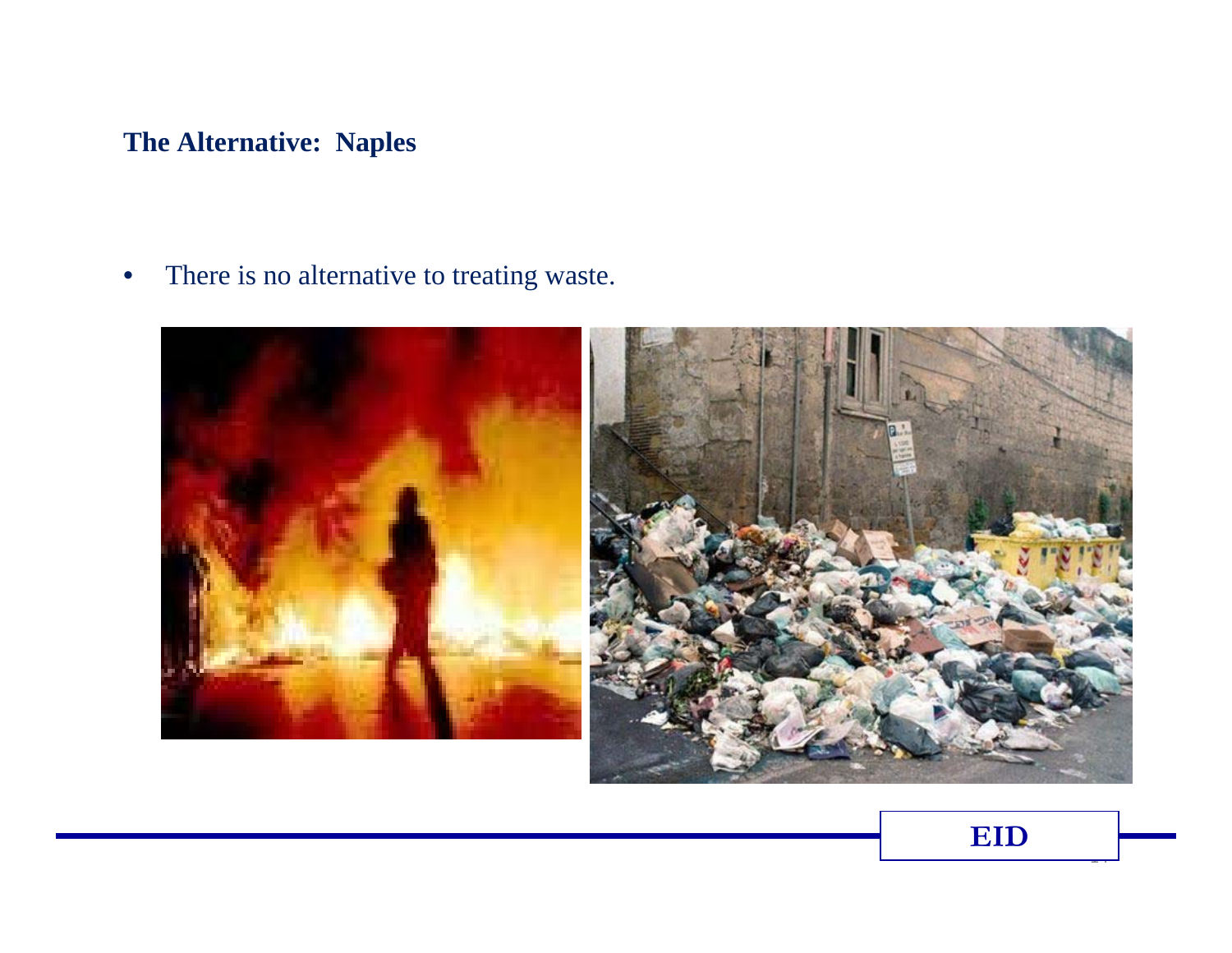## **The Alternative: Naples**

•There is no alternative to treating waste.





 $\overline{a}$